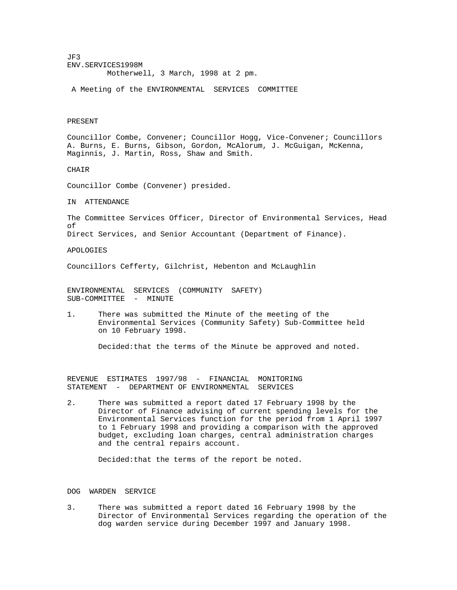JF3 ENV.SERVICES1998M Motherwell, 3 March, 1998 at 2 pm.

A Meeting of the ENVIRONMENTAL SERVICES COMMITTEE

#### PRESENT

Councillor Combe, Convener; Councillor Hogg, Vice-Convener; Councillors A. Burns, E. Burns, Gibson, Gordon, McAlorum, J. McGuigan, McKenna, Maginnis, J. Martin, Ross, Shaw and Smith.

### CHAIR

Councillor Combe (Convener) presided.

IN ATTENDANCE

The Committee Services Officer, Director of Environmental Services, Head of Direct Services, and Senior Accountant (Department of Finance).

## APOLOGIES

Councillors Cefferty, Gilchrist, Hebenton and McLaughlin

ENVIRONMENTAL SERVICES (COMMUNITY SAFETY) SUB-COMMITTEE - MINUTE

1. There was submitted the Minute of the meeting of the Environmental Services (Community Safety) Sub-Committee held on 10 February 1998.

Decided:that the terms of the Minute be approved and noted.

REVENUE ESTIMATES 1997/98 - FINANCIAL MONITORING STATEMENT - DEPARTMENT OF ENVIRONMENTAL SERVICES

2. There was submitted a report dated 17 February 1998 by the Director of Finance advising of current spending levels for the Environmental Services function for the period from 1 April 1997 to 1 February 1998 and providing a comparison with the approved budget, excluding loan charges, central administration charges and the central repairs account.

Decided:that the terms of the report be noted.

### DOG WARDEN SERVICE

3. There was submitted a report dated 16 February 1998 by the Director of Environmental Services regarding the operation of the dog warden service during December 1997 and January 1998.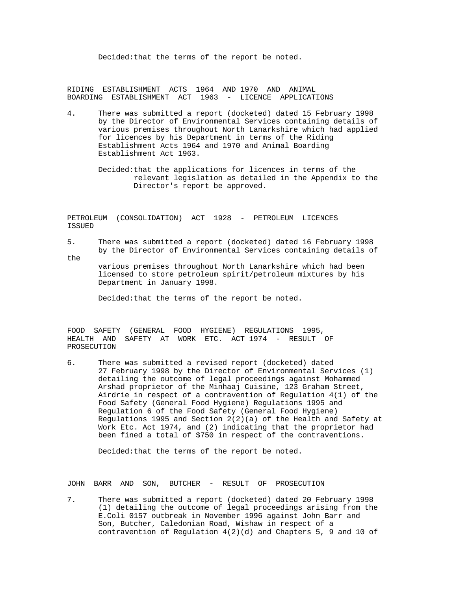Decided:that the terms of the report be noted.

RIDING ESTABLISHMENT ACTS 1964 AND 1970 AND ANIMAL BOARDING ESTABLISHMENT ACT 1963 - LICENCE APPLICATIONS

- 4. There was submitted a report (docketed) dated 15 February 1998 by the Director of Environmental Services containing details of various premises throughout North Lanarkshire which had applied for licences by his Department in terms of the Riding Establishment Acts 1964 and 1970 and Animal Boarding Establishment Act 1963.
	- Decided:that the applications for licences in terms of the relevant legislation as detailed in the Appendix to the Director's report be approved.

PETROLEUM (CONSOLIDATION) ACT 1928 - PETROLEUM LICENCES ISSUED

5. There was submitted a report (docketed) dated 16 February 1998 by the Director of Environmental Services containing details of

 various premises throughout North Lanarkshire which had been licensed to store petroleum spirit/petroleum mixtures by his Department in January 1998.

Decided:that the terms of the report be noted.

the

FOOD SAFETY (GENERAL FOOD HYGIENE) REGULATIONS 1995, HEALTH AND SAFETY AT WORK ETC. ACT 1974 - RESULT OF PROSECUTION

6. There was submitted a revised report (docketed) dated 27 February 1998 by the Director of Environmental Services (1) detailing the outcome of legal proceedings against Mohammed Arshad proprietor of the Minhaaj Cuisine, 123 Graham Street, Airdrie in respect of a contravention of Regulation 4(1) of the Food Safety (General Food Hygiene) Regulations 1995 and Regulation 6 of the Food Safety (General Food Hygiene) Regulations 1995 and Section  $2(2)(a)$  of the Health and Safety at Work Etc. Act 1974, and (2) indicating that the proprietor had been fined a total of \$750 in respect of the contraventions.

Decided:that the terms of the report be noted.

JOHN BARR AND SON, BUTCHER - RESULT OF PROSECUTION

7. There was submitted a report (docketed) dated 20 February 1998 (1) detailing the outcome of legal proceedings arising from the E.Coli 0157 outbreak in November 1996 against John Barr and Son, Butcher, Caledonian Road, Wishaw in respect of a contravention of Regulation 4(2)(d) and Chapters 5, 9 and 10 of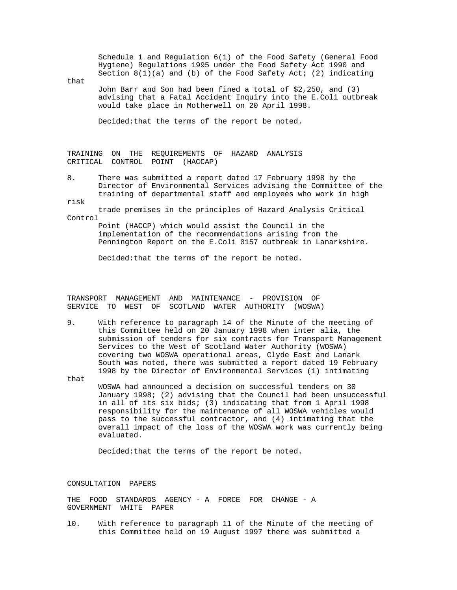Schedule 1 and Regulation 6(1) of the Food Safety (General Food Hygiene) Regulations 1995 under the Food Safety Act 1990 and Section  $8(1)(a)$  and (b) of the Food Safety Act; (2) indicating

that

 John Barr and Son had been fined a total of \$2,250, and (3) advising that a Fatal Accident Inquiry into the E.Coli outbreak would take place in Motherwell on 20 April 1998.

Decided:that the terms of the report be noted.

TRAINING ON THE REQUIREMENTS OF HAZARD ANALYSIS CRITICAL CONTROL POINT (HACCAP)

8. There was submitted a report dated 17 February 1998 by the Director of Environmental Services advising the Committee of the training of departmental staff and employees who work in high

risk trade premises in the principles of Hazard Analysis Critical Control

> Point (HACCP) which would assist the Council in the implementation of the recommendations arising from the Pennington Report on the E.Coli 0157 outbreak in Lanarkshire.

Decided:that the terms of the report be noted.

TRANSPORT MANAGEMENT AND MAINTENANCE - PROVISION OF SERVICE TO WEST OF SCOTLAND WATER AUTHORITY (WOSWA)

- 9. With reference to paragraph 14 of the Minute of the meeting of this Committee held on 20 January 1998 when inter alia, the submission of tenders for six contracts for Transport Management Services to the West of Scotland Water Authority (WOSWA) covering two WOSWA operational areas, Clyde East and Lanark South was noted, there was submitted a report dated 19 February 1998 by the Director of Environmental Services (1) intimating
- that WOSWA had announced a decision on successful tenders on 30 January 1998; (2) advising that the Council had been unsuccessful in all of its six bids; (3) indicating that from 1 April 1998 responsibility for the maintenance of all WOSWA vehicles would pass to the successful contractor, and (4) intimating that the overall impact of the loss of the WOSWA work was currently being evaluated.

Decided:that the terms of the report be noted.

# CONSULTATION PAPERS

THE FOOD STANDARDS AGENCY - A FORCE FOR CHANGE - A GOVERNMENT WHITE PAPER

10. With reference to paragraph 11 of the Minute of the meeting of this Committee held on 19 August 1997 there was submitted a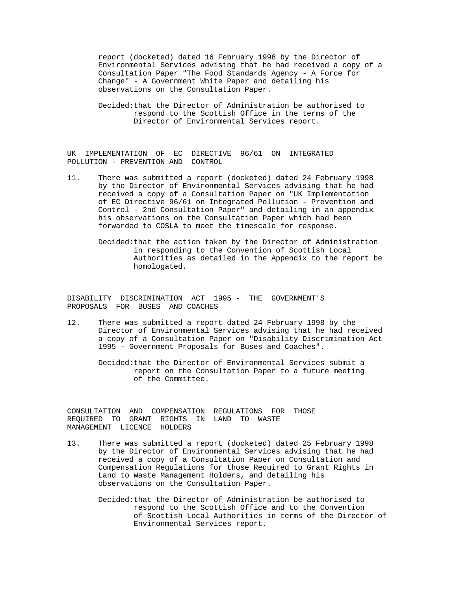report (docketed) dated 16 February 1998 by the Director of Environmental Services advising that he had received a copy of a Consultation Paper "The Food Standards Agency - A Force for Change" - A Government White Paper and detailing his observations on the Consultation Paper.

 Decided:that the Director of Administration be authorised to respond to the Scottish Office in the terms of the Director of Environmental Services report.

UK IMPLEMENTATION OF EC DIRECTIVE 96/61 ON INTEGRATED POLLUTION - PREVENTION AND CONTROL

- 11. There was submitted a report (docketed) dated 24 February 1998 by the Director of Environmental Services advising that he had received a copy of a Consultation Paper on "UK Implementation of EC Directive 96/61 on Integrated Pollution - Prevention and Control - 2nd Consultation Paper" and detailing in an appendix his observations on the Consultation Paper which had been forwarded to COSLA to meet the timescale for response.
	- Decided:that the action taken by the Director of Administration in responding to the Convention of Scottish Local Authorities as detailed in the Appendix to the report be homologated.

DISABILITY DISCRIMINATION ACT 1995 - THE GOVERNMENT'S PROPOSALS FOR BUSES AND COACHES

- 12. There was submitted a report dated 24 February 1998 by the Director of Environmental Services advising that he had received a copy of a Consultation Paper on "Disability Discrimination Act 1995 - Government Proposals for Buses and Coaches".
	- Decided:that the Director of Environmental Services submit a report on the Consultation Paper to a future meeting of the Committee.

CONSULTATION AND COMPENSATION REGULATIONS FOR THOSE REQUIRED TO GRANT RIGHTS IN LAND TO WASTE MANAGEMENT LICENCE HOLDERS

- 13. There was submitted a report (docketed) dated 25 February 1998 by the Director of Environmental Services advising that he had received a copy of a Consultation Paper on Consultation and Compensation Regulations for those Required to Grant Rights in Land to Waste Management Holders, and detailing his observations on the Consultation Paper.
	- Decided:that the Director of Administration be authorised to respond to the Scottish Office and to the Convention of Scottish Local Authorities in terms of the Director of Environmental Services report.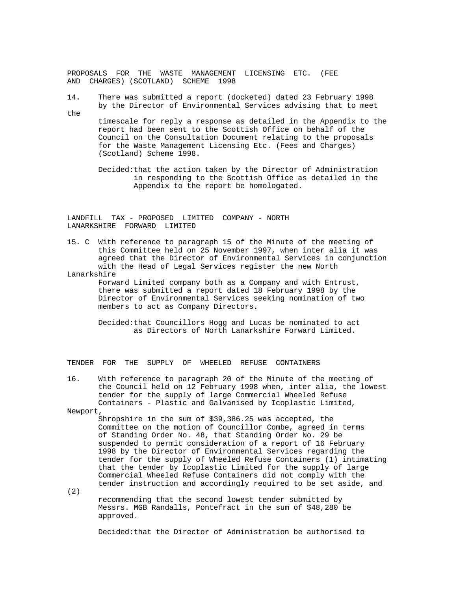PROPOSALS FOR THE WASTE MANAGEMENT LICENSING ETC. (FEE AND CHARGES) (SCOTLAND) SCHEME 1998

14. There was submitted a report (docketed) dated 23 February 1998 by the Director of Environmental Services advising that to meet the

 timescale for reply a response as detailed in the Appendix to the report had been sent to the Scottish Office on behalf of the Council on the Consultation Document relating to the proposals for the Waste Management Licensing Etc. (Fees and Charges) (Scotland) Scheme 1998.

 Decided:that the action taken by the Director of Administration in responding to the Scottish Office as detailed in the Appendix to the report be homologated.

LANDFILL TAX - PROPOSED LIMITED COMPANY - NORTH LANARKSHIRE FORWARD LIMITED

15. C With reference to paragraph 15 of the Minute of the meeting of this Committee held on 25 November 1997, when inter alia it was agreed that the Director of Environmental Services in conjunction with the Head of Legal Services register the new North

Lanarkshire

 Forward Limited company both as a Company and with Entrust, there was submitted a report dated 18 February 1998 by the Director of Environmental Services seeking nomination of two members to act as Company Directors.

 Decided:that Councillors Hogg and Lucas be nominated to act as Directors of North Lanarkshire Forward Limited.

TENDER FOR THE SUPPLY OF WHEELED REFUSE CONTAINERS

16. With reference to paragraph 20 of the Minute of the meeting of the Council held on 12 February 1998 when, inter alia, the lowest tender for the supply of large Commercial Wheeled Refuse Containers - Plastic and Galvanised by Icoplastic Limited,

Newport,

 Shropshire in the sum of \$39,386.25 was accepted, the Committee on the motion of Councillor Combe, agreed in terms of Standing Order No. 48, that Standing Order No. 29 be suspended to permit consideration of a report of 16 February 1998 by the Director of Environmental Services regarding the tender for the supply of Wheeled Refuse Containers (1) intimating that the tender by Icoplastic Limited for the supply of large Commercial Wheeled Refuse Containers did not comply with the tender instruction and accordingly required to be set aside, and

(2)

 recommending that the second lowest tender submitted by Messrs. MGB Randalls, Pontefract in the sum of \$48,280 be approved.

Decided:that the Director of Administration be authorised to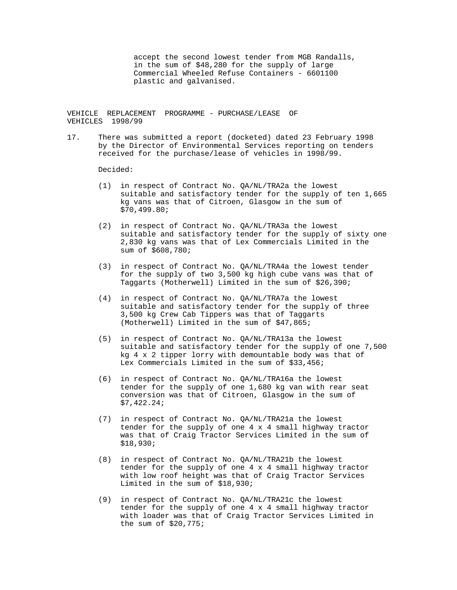accept the second lowest tender from MGB Randalls, in the sum of \$48,280 for the supply of large Commercial Wheeled Refuse Containers - 6601100 plastic and galvanised.

VEHICLE REPLACEMENT PROGRAMME - PURCHASE/LEASE OF VEHICLES 1998/99

17. There was submitted a report (docketed) dated 23 February 1998 by the Director of Environmental Services reporting on tenders received for the purchase/lease of vehicles in 1998/99.

Decided:

- (1) in respect of Contract No. QA/NL/TRA2a the lowest suitable and satisfactory tender for the supply of ten 1,665 kg vans was that of Citroen, Glasgow in the sum of \$70,499.80;
- (2) in respect of Contract No. QA/NL/TRA3a the lowest suitable and satisfactory tender for the supply of sixty one 2,830 kg vans was that of Lex Commercials Limited in the sum of \$608,780;
- (3) in respect of Contract No. QA/NL/TRA4a the lowest tender for the supply of two 3,500 kg high cube vans was that of Taggarts (Motherwell) Limited in the sum of \$26,390;
- (4) in respect of Contract No. QA/NL/TRA7a the lowest suitable and satisfactory tender for the supply of three 3,500 kg Crew Cab Tippers was that of Taggarts (Motherwell) Limited in the sum of \$47,865;
- (5) in respect of Contract No. QA/NL/TRA13a the lowest suitable and satisfactory tender for the supply of one 7,500 kg 4 x 2 tipper lorry with demountable body was that of Lex Commercials Limited in the sum of \$33,456;
- (6) in respect of Contract No. QA/NL/TRA16a the lowest tender for the supply of one 1,680 kg van with rear seat conversion was that of Citroen, Glasgow in the sum of \$7,422.24;
- (7) in respect of Contract No. QA/NL/TRA21a the lowest tender for the supply of one  $4 \times 4$  small highway tractor was that of Craig Tractor Services Limited in the sum of \$18,930;
- (8) in respect of Contract No. QA/NL/TRA21b the lowest tender for the supply of one 4 x 4 small highway tractor with low roof height was that of Craig Tractor Services Limited in the sum of \$18,930;
- (9) in respect of Contract No. QA/NL/TRA21c the lowest tender for the supply of one 4 x 4 small highway tractor with loader was that of Craig Tractor Services Limited in the sum of \$20,775;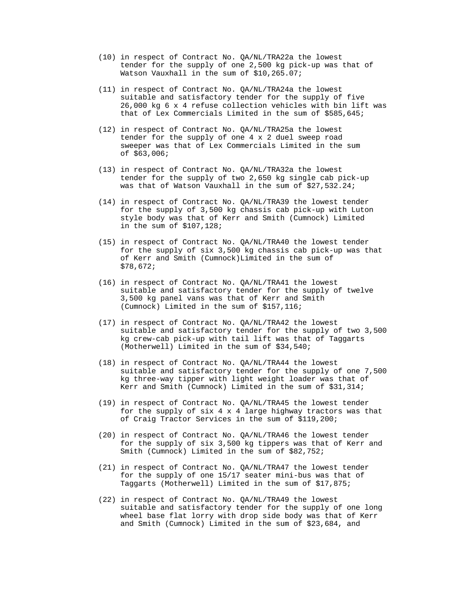- (10) in respect of Contract No. QA/NL/TRA22a the lowest tender for the supply of one 2,500 kg pick-up was that of Watson Vauxhall in the sum of \$10,265.07;
- (11) in respect of Contract No. QA/NL/TRA24a the lowest suitable and satisfactory tender for the supply of five 26,000 kg 6 x 4 refuse collection vehicles with bin lift was that of Lex Commercials Limited in the sum of \$585,645;
- (12) in respect of Contract No. QA/NL/TRA25a the lowest tender for the supply of one 4 x 2 duel sweep road sweeper was that of Lex Commercials Limited in the sum of \$63,006;
- (13) in respect of Contract No. QA/NL/TRA32a the lowest tender for the supply of two 2,650 kg single cab pick-up was that of Watson Vauxhall in the sum of \$27,532.24;
- (14) in respect of Contract No. QA/NL/TRA39 the lowest tender for the supply of 3,500 kg chassis cab pick-up with Luton style body was that of Kerr and Smith (Cumnock) Limited in the sum of \$107,128;
- (15) in respect of Contract No. QA/NL/TRA40 the lowest tender for the supply of six 3,500 kg chassis cab pick-up was that of Kerr and Smith (Cumnock)Limited in the sum of \$78,672;
- (16) in respect of Contract No. QA/NL/TRA41 the lowest suitable and satisfactory tender for the supply of twelve 3,500 kg panel vans was that of Kerr and Smith (Cumnock) Limited in the sum of \$157,116;
- (17) in respect of Contract No. QA/NL/TRA42 the lowest suitable and satisfactory tender for the supply of two 3,500 kg crew-cab pick-up with tail lift was that of Taggarts (Motherwell) Limited in the sum of \$34,540;
- (18) in respect of Contract No. QA/NL/TRA44 the lowest suitable and satisfactory tender for the supply of one 7,500 kg three-way tipper with light weight loader was that of Kerr and Smith (Cumnock) Limited in the sum of \$31,314;
- (19) in respect of Contract No. QA/NL/TRA45 the lowest tender for the supply of  $\sin 4 x 4$  large highway tractors was that of Craig Tractor Services in the sum of \$119,200;
- (20) in respect of Contract No. QA/NL/TRA46 the lowest tender for the supply of six 3,500 kg tippers was that of Kerr and Smith (Cumnock) Limited in the sum of \$82,752;
- (21) in respect of Contract No. QA/NL/TRA47 the lowest tender for the supply of one 15/17 seater mini-bus was that of Taggarts (Motherwell) Limited in the sum of \$17,875;
- (22) in respect of Contract No. QA/NL/TRA49 the lowest suitable and satisfactory tender for the supply of one long wheel base flat lorry with drop side body was that of Kerr and Smith (Cumnock) Limited in the sum of \$23,684, and